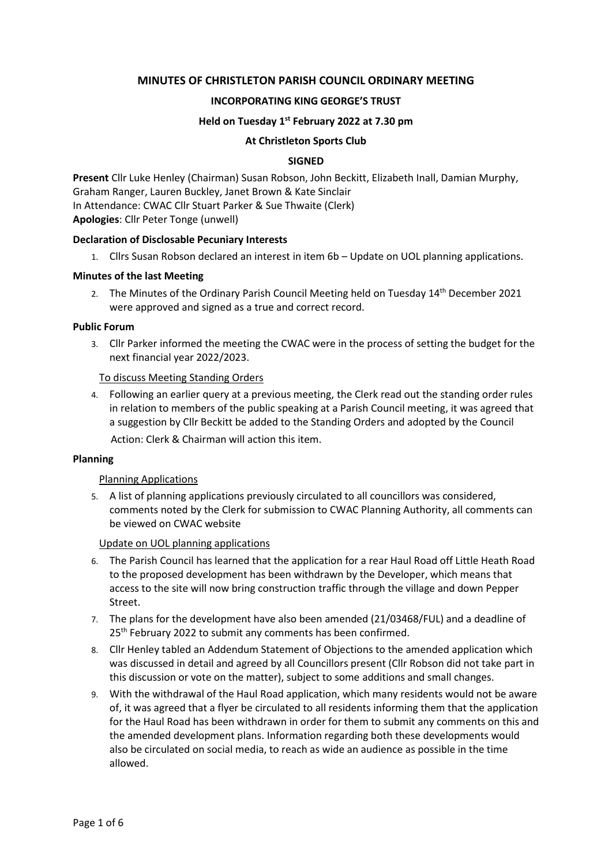# **MINUTES OF CHRISTLETON PARISH COUNCIL ORDINARY MEETING**

### **INCORPORATING KING GEORGE'S TRUST**

### **Held on Tuesday 1 st February 2022 at 7.30 pm**

#### **At Christleton Sports Club**

#### **SIGNED**

**Present** Cllr Luke Henley (Chairman) Susan Robson, John Beckitt, Elizabeth Inall, Damian Murphy, Graham Ranger, Lauren Buckley, Janet Brown & Kate Sinclair In Attendance: CWAC Cllr Stuart Parker & Sue Thwaite (Clerk) **Apologies**: Cllr Peter Tonge (unwell)

#### **Declaration of Disclosable Pecuniary Interests**

1. Cllrs Susan Robson declared an interest in item 6b – Update on UOL planning applications.

#### **Minutes of the last Meeting**

2. The Minutes of the Ordinary Parish Council Meeting held on Tuesday 14<sup>th</sup> December 2021 were approved and signed as a true and correct record.

#### **Public Forum**

3. Cllr Parker informed the meeting the CWAC were in the process of setting the budget for the next financial year 2022/2023.

#### To discuss Meeting Standing Orders

4. Following an earlier query at a previous meeting, the Clerk read out the standing order rules in relation to members of the public speaking at a Parish Council meeting, it was agreed that a suggestion by Cllr Beckitt be added to the Standing Orders and adopted by the Council Action: Clerk & Chairman will action this item.

#### **Planning**

#### Planning Applications

5. A list of planning applications previously circulated to all councillors was considered, comments noted by the Clerk for submission to CWAC Planning Authority, all comments can be viewed on CWAC website

Update on UOL planning applications

- 6. The Parish Council has learned that the application for a rear Haul Road off Little Heath Road to the proposed development has been withdrawn by the Developer, which means that access to the site will now bring construction traffic through the village and down Pepper Street.
- 7. The plans for the development have also been amended (21/03468/FUL) and a deadline of 25<sup>th</sup> February 2022 to submit any comments has been confirmed.
- 8. Cllr Henley tabled an Addendum Statement of Objections to the amended application which was discussed in detail and agreed by all Councillors present (Cllr Robson did not take part in this discussion or vote on the matter), subject to some additions and small changes.
- 9. With the withdrawal of the Haul Road application, which many residents would not be aware of, it was agreed that a flyer be circulated to all residents informing them that the application for the Haul Road has been withdrawn in order for them to submit any comments on this and the amended development plans. Information regarding both these developments would also be circulated on social media, to reach as wide an audience as possible in the time allowed.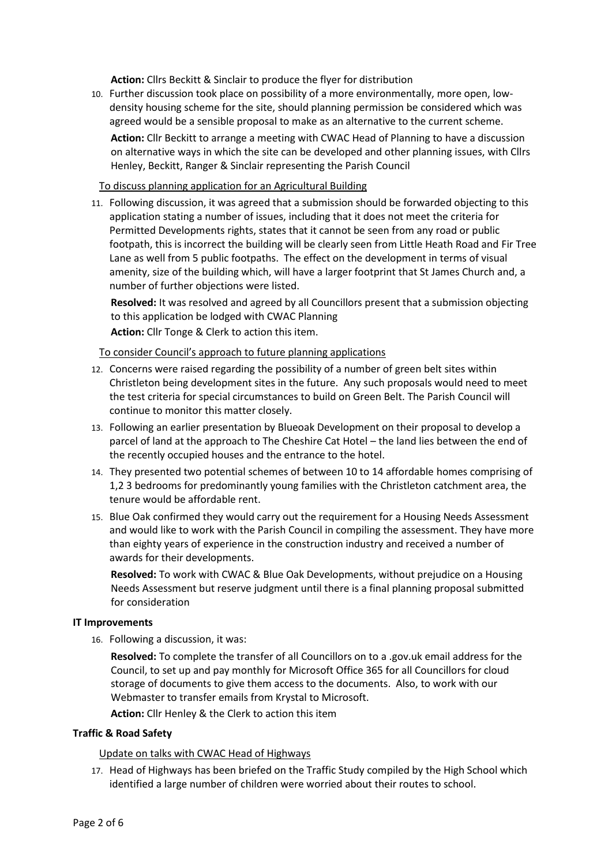**Action:** Cllrs Beckitt & Sinclair to produce the flyer for distribution

10. Further discussion took place on possibility of a more environmentally, more open, lowdensity housing scheme for the site, should planning permission be considered which was agreed would be a sensible proposal to make as an alternative to the current scheme.

**Action:** Cllr Beckitt to arrange a meeting with CWAC Head of Planning to have a discussion on alternative ways in which the site can be developed and other planning issues, with Cllrs Henley, Beckitt, Ranger & Sinclair representing the Parish Council

# To discuss planning application for an Agricultural Building

11. Following discussion, it was agreed that a submission should be forwarded objecting to this application stating a number of issues, including that it does not meet the criteria for Permitted Developments rights, states that it cannot be seen from any road or public footpath, this is incorrect the building will be clearly seen from Little Heath Road and Fir Tree Lane as well from 5 public footpaths. The effect on the development in terms of visual amenity, size of the building which, will have a larger footprint that St James Church and, a number of further objections were listed.

**Resolved:** It was resolved and agreed by all Councillors present that a submission objecting to this application be lodged with CWAC Planning

**Action:** Cllr Tonge & Clerk to action this item.

To consider Council's approach to future planning applications

- 12. Concerns were raised regarding the possibility of a number of green belt sites within Christleton being development sites in the future. Any such proposals would need to meet the test criteria for special circumstances to build on Green Belt. The Parish Council will continue to monitor this matter closely.
- 13. Following an earlier presentation by Blueoak Development on their proposal to develop a parcel of land at the approach to The Cheshire Cat Hotel – the land lies between the end of the recently occupied houses and the entrance to the hotel.
- 14. They presented two potential schemes of between 10 to 14 affordable homes comprising of 1,2 3 bedrooms for predominantly young families with the Christleton catchment area, the tenure would be affordable rent.
- 15. Blue Oak confirmed they would carry out the requirement for a Housing Needs Assessment and would like to work with the Parish Council in compiling the assessment. They have more than eighty years of experience in the construction industry and received a number of awards for their developments.

**Resolved:** To work with CWAC & Blue Oak Developments, without prejudice on a Housing Needs Assessment but reserve judgment until there is a final planning proposal submitted for consideration

# **IT Improvements**

16. Following a discussion, it was:

**Resolved:** To complete the transfer of all Councillors on to a .gov.uk email address for the Council, to set up and pay monthly for Microsoft Office 365 for all Councillors for cloud storage of documents to give them access to the documents. Also, to work with our Webmaster to transfer emails from Krystal to Microsoft.

**Action:** Cllr Henley & the Clerk to action this item

# **Traffic & Road Safety**

Update on talks with CWAC Head of Highways

17. Head of Highways has been briefed on the Traffic Study compiled by the High School which identified a large number of children were worried about their routes to school.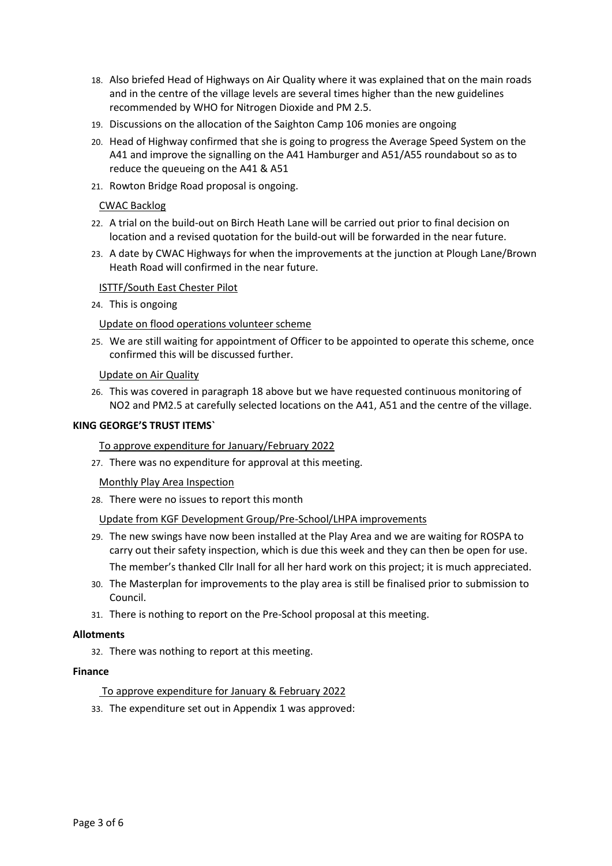- 18. Also briefed Head of Highways on Air Quality where it was explained that on the main roads and in the centre of the village levels are several times higher than the new guidelines recommended by WHO for Nitrogen Dioxide and PM 2.5.
- 19. Discussions on the allocation of the Saighton Camp 106 monies are ongoing
- 20. Head of Highway confirmed that she is going to progress the Average Speed System on the A41 and improve the signalling on the A41 Hamburger and A51/A55 roundabout so as to reduce the queueing on the A41 & A51
- 21. Rowton Bridge Road proposal is ongoing.

### CWAC Backlog

- 22. A trial on the build-out on Birch Heath Lane will be carried out prior to final decision on location and a revised quotation for the build-out will be forwarded in the near future.
- 23. A date by CWAC Highways for when the improvements at the junction at Plough Lane/Brown Heath Road will confirmed in the near future.

#### ISTTF/South East Chester Pilot

24. This is ongoing

### Update on flood operations volunteer scheme

25. We are still waiting for appointment of Officer to be appointed to operate this scheme, once confirmed this will be discussed further.

### Update on Air Quality

26. This was covered in paragraph 18 above but we have requested continuous monitoring of NO2 and PM2.5 at carefully selected locations on the A41, A51 and the centre of the village.

### **KING GEORGE'S TRUST ITEMS`**

To approve expenditure for January/February 2022

27. There was no expenditure for approval at this meeting.

#### Monthly Play Area Inspection

28. There were no issues to report this month

#### Update from KGF Development Group/Pre-School/LHPA improvements

- 29. The new swings have now been installed at the Play Area and we are waiting for ROSPA to carry out their safety inspection, which is due this week and they can then be open for use. The member's thanked Cllr Inall for all her hard work on this project; it is much appreciated.
- 30. The Masterplan for improvements to the play area is still be finalised prior to submission to Council.
- 31. There is nothing to report on the Pre-School proposal at this meeting.

#### **Allotments**

32. There was nothing to report at this meeting.

#### **Finance**

# To approve expenditure for January & February 2022

33. The expenditure set out in Appendix 1 was approved: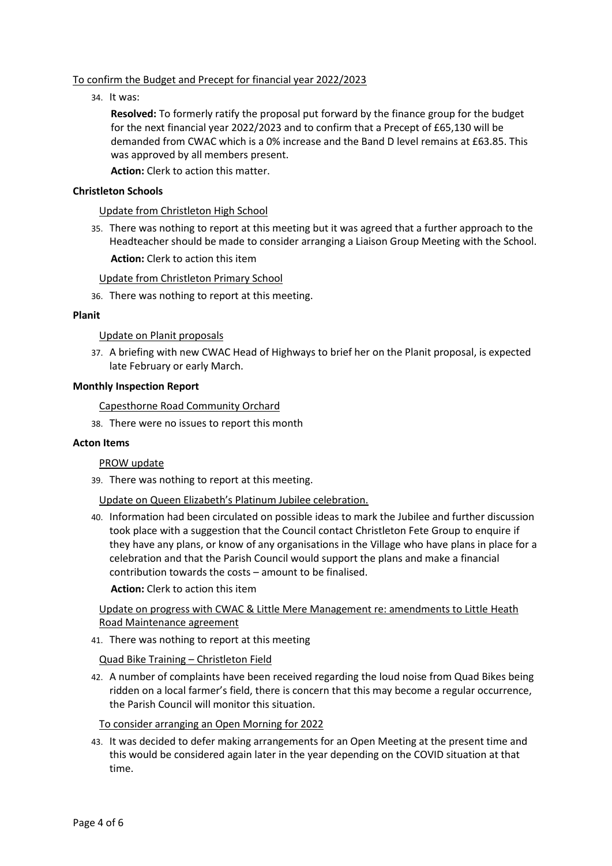# To confirm the Budget and Precept for financial year 2022/2023

34. It was:

**Resolved:** To formerly ratify the proposal put forward by the finance group for the budget for the next financial year 2022/2023 and to confirm that a Precept of £65,130 will be demanded from CWAC which is a 0% increase and the Band D level remains at £63.85. This was approved by all members present.

**Action:** Clerk to action this matter.

# **Christleton Schools**

Update from Christleton High School

35. There was nothing to report at this meeting but it was agreed that a further approach to the Headteacher should be made to consider arranging a Liaison Group Meeting with the School.

**Action:** Clerk to action this item

Update from Christleton Primary School

36. There was nothing to report at this meeting.

#### **Planit**

### Update on Planit proposals

37. A briefing with new CWAC Head of Highways to brief her on the Planit proposal, is expected late February or early March.

### **Monthly Inspection Report**

Capesthorne Road Community Orchard

38. There were no issues to report this month

# **Acton Items**

#### PROW update

39. There was nothing to report at this meeting.

Update on Queen Elizabeth's Platinum Jubilee celebration.

40. Information had been circulated on possible ideas to mark the Jubilee and further discussion took place with a suggestion that the Council contact Christleton Fete Group to enquire if they have any plans, or know of any organisations in the Village who have plans in place for a celebration and that the Parish Council would support the plans and make a financial contribution towards the costs – amount to be finalised.

**Action:** Clerk to action this item

# Update on progress with CWAC & Little Mere Management re: amendments to Little Heath Road Maintenance agreement

41. There was nothing to report at this meeting

Quad Bike Training – Christleton Field

42. A number of complaints have been received regarding the loud noise from Quad Bikes being ridden on a local farmer's field, there is concern that this may become a regular occurrence, the Parish Council will monitor this situation.

# To consider arranging an Open Morning for 2022

43. It was decided to defer making arrangements for an Open Meeting at the present time and this would be considered again later in the year depending on the COVID situation at that time.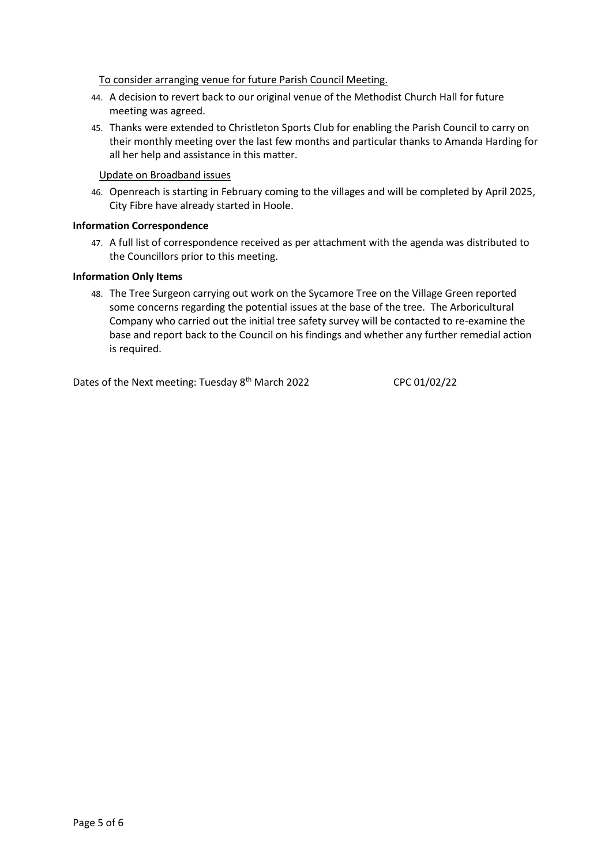# To consider arranging venue for future Parish Council Meeting.

- 44. A decision to revert back to our original venue of the Methodist Church Hall for future meeting was agreed.
- 45. Thanks were extended to Christleton Sports Club for enabling the Parish Council to carry on their monthly meeting over the last few months and particular thanks to Amanda Harding for all her help and assistance in this matter.

## Update on Broadband issues

46. Openreach is starting in February coming to the villages and will be completed by April 2025, City Fibre have already started in Hoole.

### **Information Correspondence**

47. A full list of correspondence received as per attachment with the agenda was distributed to the Councillors prior to this meeting.

### **Information Only Items**

48. The Tree Surgeon carrying out work on the Sycamore Tree on the Village Green reported some concerns regarding the potential issues at the base of the tree. The Arboricultural Company who carried out the initial tree safety survey will be contacted to re-examine the base and report back to the Council on his findings and whether any further remedial action is required.

Dates of the Next meeting: Tuesday 8<sup>th</sup> March 2022 CPC 01/02/22